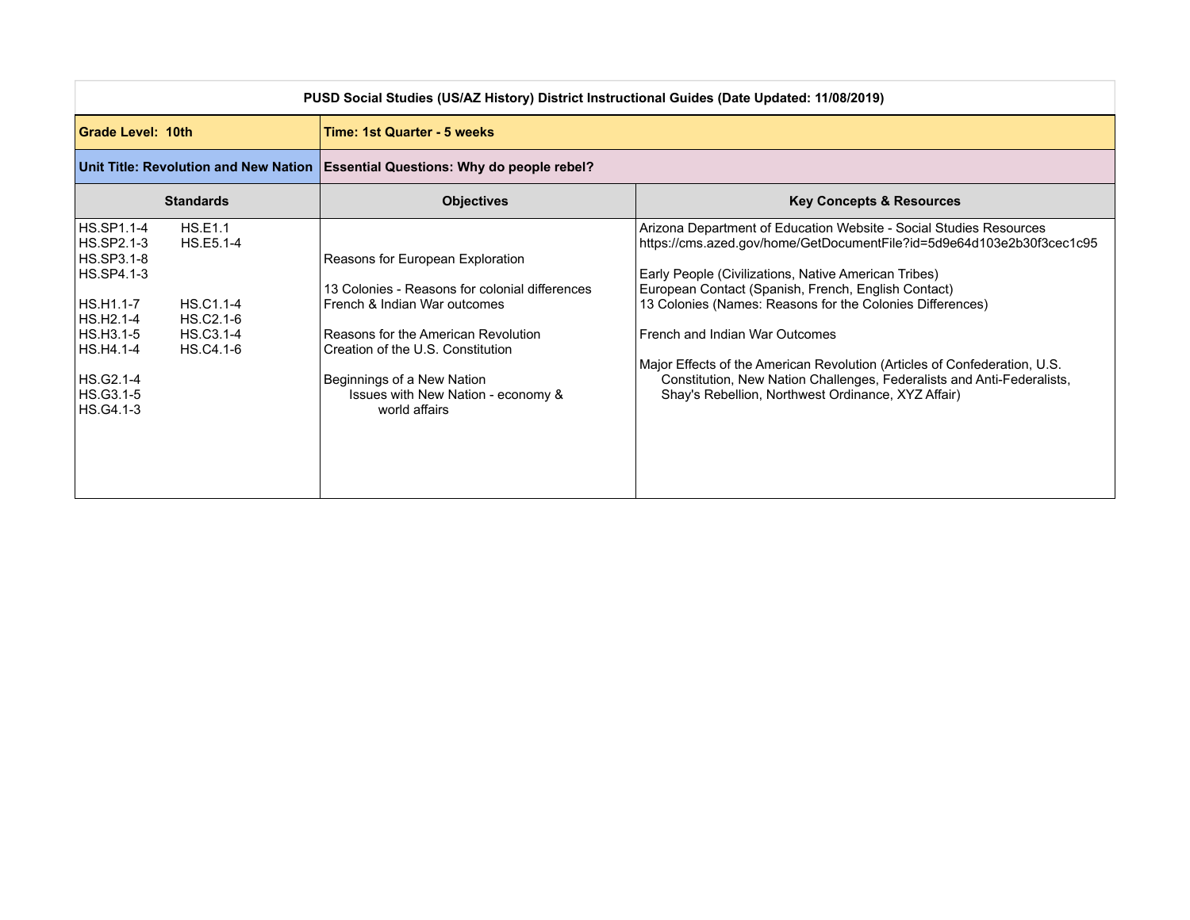| PUSD Social Studies (US/AZ History) District Instructional Guides (Date Updated: 11/08/2019)                                                                                                                                              |                                                                                                                                                                                                                                                                                     |                                                                                                                                                                                                                                                                                                                                                                                                                                                                                                                                                                        |
|-------------------------------------------------------------------------------------------------------------------------------------------------------------------------------------------------------------------------------------------|-------------------------------------------------------------------------------------------------------------------------------------------------------------------------------------------------------------------------------------------------------------------------------------|------------------------------------------------------------------------------------------------------------------------------------------------------------------------------------------------------------------------------------------------------------------------------------------------------------------------------------------------------------------------------------------------------------------------------------------------------------------------------------------------------------------------------------------------------------------------|
| Grade Level: 10th                                                                                                                                                                                                                         | <b>Time: 1st Quarter - 5 weeks</b>                                                                                                                                                                                                                                                  |                                                                                                                                                                                                                                                                                                                                                                                                                                                                                                                                                                        |
|                                                                                                                                                                                                                                           | Unit Title: Revolution and New Nation   Essential Questions: Why do people rebel?                                                                                                                                                                                                   |                                                                                                                                                                                                                                                                                                                                                                                                                                                                                                                                                                        |
| <b>Standards</b>                                                                                                                                                                                                                          | <b>Objectives</b>                                                                                                                                                                                                                                                                   | <b>Key Concepts &amp; Resources</b>                                                                                                                                                                                                                                                                                                                                                                                                                                                                                                                                    |
| HS.SP1.1-4<br><b>HS.E1.1</b><br>HS.SP2.1-3<br>HS.E5.1-4<br>HS.SP3.1-8<br>HS.SP4.1-3<br>HS.H1.1-7<br><b>HS.C1.1-4</b><br>HS.H2.1-4<br>HS.C2.1-6<br>HS.H3.1-5<br>HS.C3.1-4<br>HS.H4.1-4<br>HS.C4.1-6<br>HS.G2.1-4<br>HS.G3.1-5<br>HS.G4.1-3 | Reasons for European Exploration<br>13 Colonies - Reasons for colonial differences<br>French & Indian War outcomes<br>Reasons for the American Revolution<br>Creation of the U.S. Constitution<br>Beginnings of a New Nation<br>Issues with New Nation - economy &<br>world affairs | Arizona Department of Education Website - Social Studies Resources<br>https://cms.azed.gov/home/GetDocumentFile?id=5d9e64d103e2b30f3cec1c95<br>Early People (Civilizations, Native American Tribes)<br>European Contact (Spanish, French, English Contact)<br>13 Colonies (Names: Reasons for the Colonies Differences)<br>French and Indian War Outcomes<br>Major Effects of the American Revolution (Articles of Confederation, U.S.<br>Constitution, New Nation Challenges, Federalists and Anti-Federalists,<br>Shay's Rebellion, Northwest Ordinance, XYZ Affair) |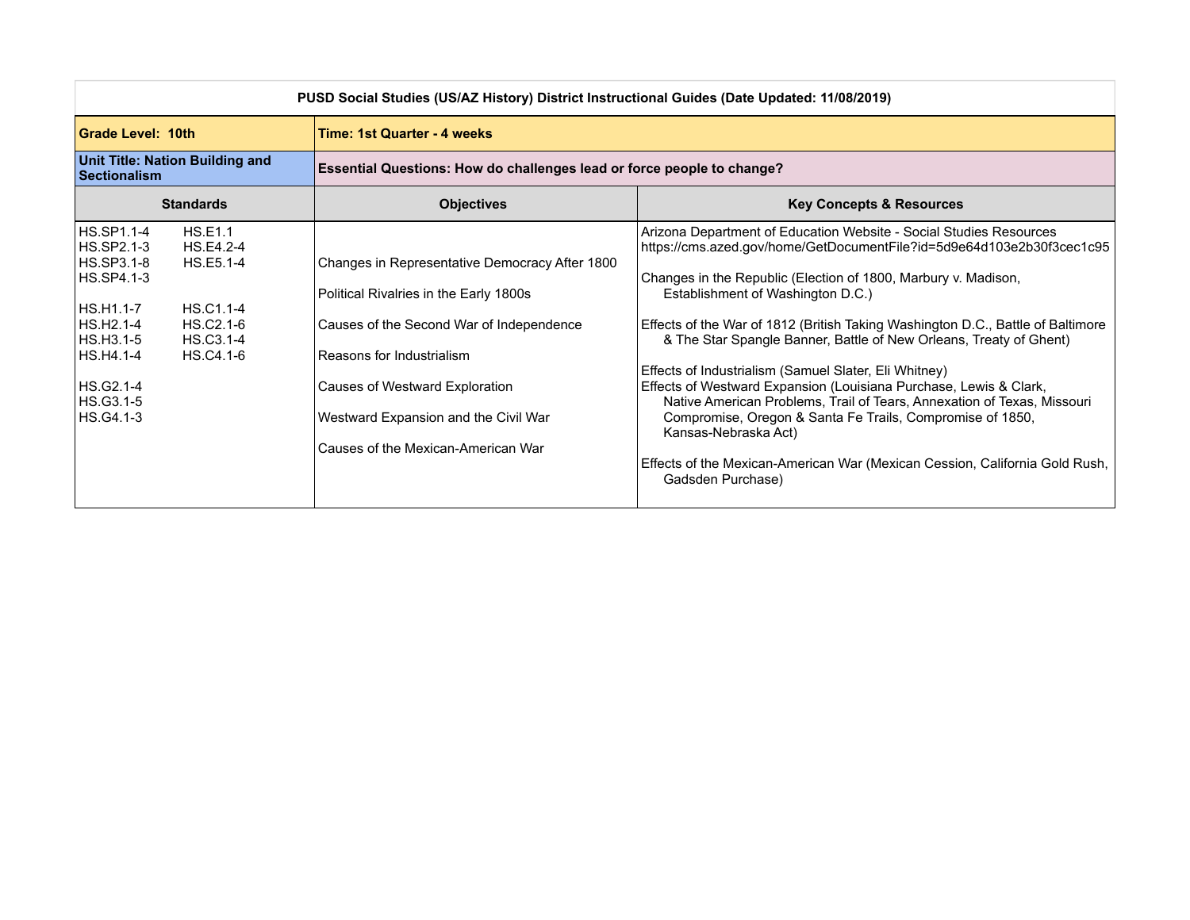| PUSD Social Studies (US/AZ History) District Instructional Guides (Date Updated: 11/08/2019)                                                                                                                                               |                                                                                                                                                                                                                                                                                   |                                                                                                                                                                                                                                                                                                                                                                                                                                                                                                                                                                                                                                                                                                                                                                                                               |
|--------------------------------------------------------------------------------------------------------------------------------------------------------------------------------------------------------------------------------------------|-----------------------------------------------------------------------------------------------------------------------------------------------------------------------------------------------------------------------------------------------------------------------------------|---------------------------------------------------------------------------------------------------------------------------------------------------------------------------------------------------------------------------------------------------------------------------------------------------------------------------------------------------------------------------------------------------------------------------------------------------------------------------------------------------------------------------------------------------------------------------------------------------------------------------------------------------------------------------------------------------------------------------------------------------------------------------------------------------------------|
| Grade Level: 10th                                                                                                                                                                                                                          | <b>Time: 1st Quarter - 4 weeks</b>                                                                                                                                                                                                                                                |                                                                                                                                                                                                                                                                                                                                                                                                                                                                                                                                                                                                                                                                                                                                                                                                               |
| <b>Unit Title: Nation Building and</b><br><b>Sectionalism</b>                                                                                                                                                                              | <b>Essential Questions: How do challenges lead or force people to change?</b>                                                                                                                                                                                                     |                                                                                                                                                                                                                                                                                                                                                                                                                                                                                                                                                                                                                                                                                                                                                                                                               |
| <b>Standards</b>                                                                                                                                                                                                                           | <b>Objectives</b>                                                                                                                                                                                                                                                                 | <b>Key Concepts &amp; Resources</b>                                                                                                                                                                                                                                                                                                                                                                                                                                                                                                                                                                                                                                                                                                                                                                           |
| HS.SP1.1-4<br>HS.E1.1<br>HS.SP2.1-3<br>HS.E4.2-4<br>HS.SP3.1-8<br>HS.E5.1-4<br>HS.SP4.1-3<br>IHS.H1.1-7<br>HS.C1.1-4<br>HS.H2.1-4<br>HS.C2.1-6<br>HS.H3.1-5<br>HS.C3.1-4<br>HS.H4.1-4<br>HS.C4.1-6<br>HS.G2.1-4<br>HS.G3.1-5 <br>HS.G4.1-3 | Changes in Representative Democracy After 1800<br>Political Rivalries in the Early 1800s<br>Causes of the Second War of Independence<br>Reasons for Industrialism<br>Causes of Westward Exploration<br>Westward Expansion and the Civil War<br>Causes of the Mexican-American War | Arizona Department of Education Website - Social Studies Resources<br>https://cms.azed.gov/home/GetDocumentFile?id=5d9e64d103e2b30f3cec1c95<br>Changes in the Republic (Election of 1800, Marbury v. Madison,<br>Establishment of Washington D.C.)<br>Effects of the War of 1812 (British Taking Washington D.C., Battle of Baltimore<br>& The Star Spangle Banner, Battle of New Orleans, Treaty of Ghent)<br>Effects of Industrialism (Samuel Slater, Eli Whitney)<br>Effects of Westward Expansion (Louisiana Purchase, Lewis & Clark,<br>Native American Problems, Trail of Tears, Annexation of Texas, Missouri<br>Compromise, Oregon & Santa Fe Trails, Compromise of 1850,<br>Kansas-Nebraska Act)<br>Effects of the Mexican-American War (Mexican Cession, California Gold Rush,<br>Gadsden Purchase) |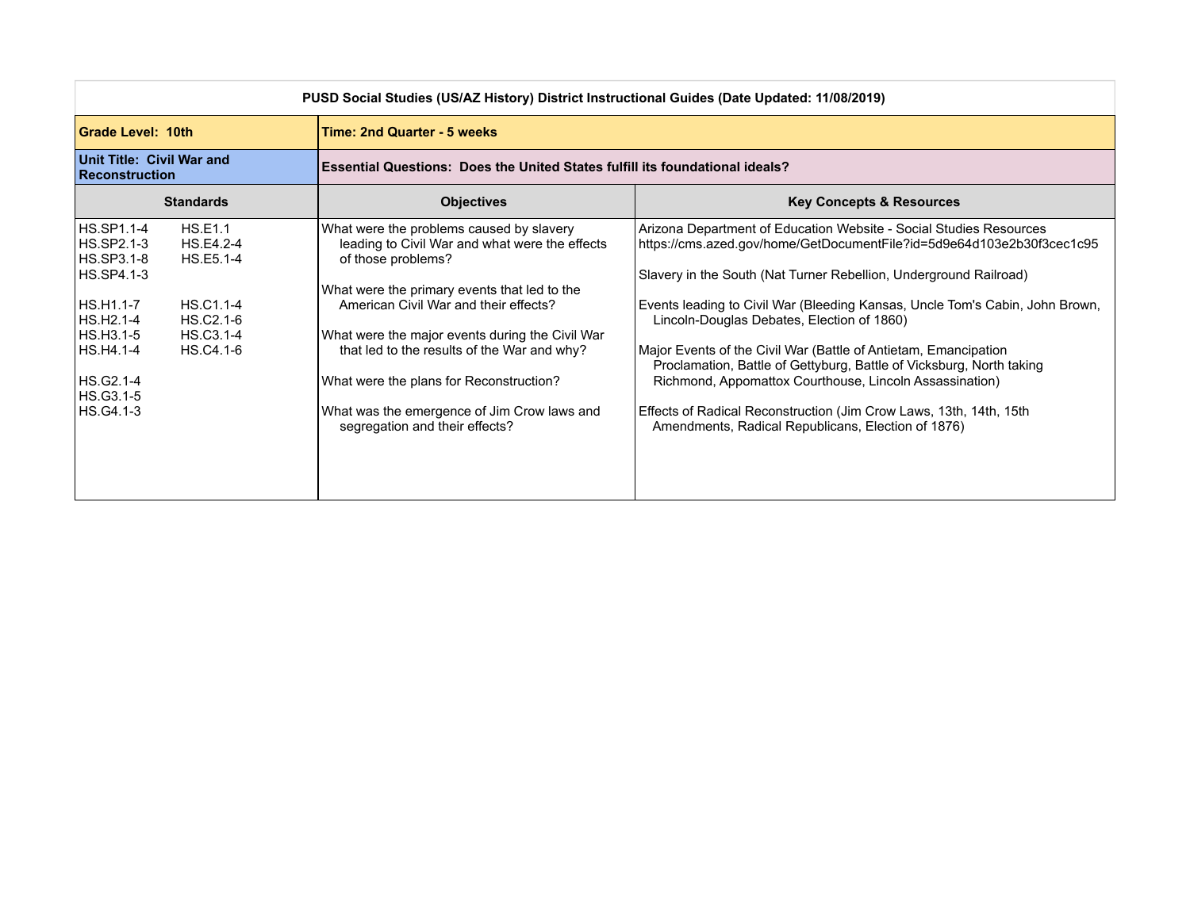| PUSD Social Studies (US/AZ History) District Instructional Guides (Date Updated: 11/08/2019)                                                           |                                                                                                          |                                                                                                                                                                                                                                                                                                                                                                                                                                         |                                                                                                                                                                                                                                                                                                                                                                                                                                                                                                                                                                                                                                                                                  |
|--------------------------------------------------------------------------------------------------------------------------------------------------------|----------------------------------------------------------------------------------------------------------|-----------------------------------------------------------------------------------------------------------------------------------------------------------------------------------------------------------------------------------------------------------------------------------------------------------------------------------------------------------------------------------------------------------------------------------------|----------------------------------------------------------------------------------------------------------------------------------------------------------------------------------------------------------------------------------------------------------------------------------------------------------------------------------------------------------------------------------------------------------------------------------------------------------------------------------------------------------------------------------------------------------------------------------------------------------------------------------------------------------------------------------|
| Grade Level: 10th                                                                                                                                      |                                                                                                          | Time: 2nd Quarter - 5 weeks                                                                                                                                                                                                                                                                                                                                                                                                             |                                                                                                                                                                                                                                                                                                                                                                                                                                                                                                                                                                                                                                                                                  |
| Unit Title: Civil War and<br>Reconstruction                                                                                                            |                                                                                                          | <b>Essential Questions: Does the United States fulfill its foundational ideals?</b>                                                                                                                                                                                                                                                                                                                                                     |                                                                                                                                                                                                                                                                                                                                                                                                                                                                                                                                                                                                                                                                                  |
|                                                                                                                                                        | <b>Standards</b>                                                                                         | <b>Objectives</b>                                                                                                                                                                                                                                                                                                                                                                                                                       | <b>Key Concepts &amp; Resources</b>                                                                                                                                                                                                                                                                                                                                                                                                                                                                                                                                                                                                                                              |
| <b>HS.SP1.1-4</b><br>HS.SP2.1-3<br>HS.SP3.1-8<br>HS.SP4.1-3<br>HS.H1.1-7<br>HS.H2.1-4<br>HS.H3.1-5<br>HS.H4.1-4<br>HS.G2.1-4<br>HS.G3.1-5<br>HS.G4.1-3 | HS.E1.1<br>HS.E4.2-4<br>HS.E5.1-4<br><b>HS.C1.1-4</b><br>HS.C <sub>2.1-6</sub><br>HS.C3.1-4<br>HS.C4.1-6 | What were the problems caused by slavery<br>leading to Civil War and what were the effects<br>of those problems?<br>What were the primary events that led to the<br>American Civil War and their effects?<br>What were the major events during the Civil War<br>that led to the results of the War and why?<br>What were the plans for Reconstruction?<br>What was the emergence of Jim Crow laws and<br>segregation and their effects? | Arizona Department of Education Website - Social Studies Resources<br>https://cms.azed.gov/home/GetDocumentFile?id=5d9e64d103e2b30f3cec1c95<br>Slavery in the South (Nat Turner Rebellion, Underground Railroad)<br>Events leading to Civil War (Bleeding Kansas, Uncle Tom's Cabin, John Brown,<br>Lincoln-Douglas Debates, Election of 1860)<br>Major Events of the Civil War (Battle of Antietam, Emancipation<br>Proclamation, Battle of Gettyburg, Battle of Vicksburg, North taking<br>Richmond, Appomattox Courthouse, Lincoln Assassination)<br>Effects of Radical Reconstruction (Jim Crow Laws, 13th, 14th, 15th<br>Amendments, Radical Republicans, Election of 1876) |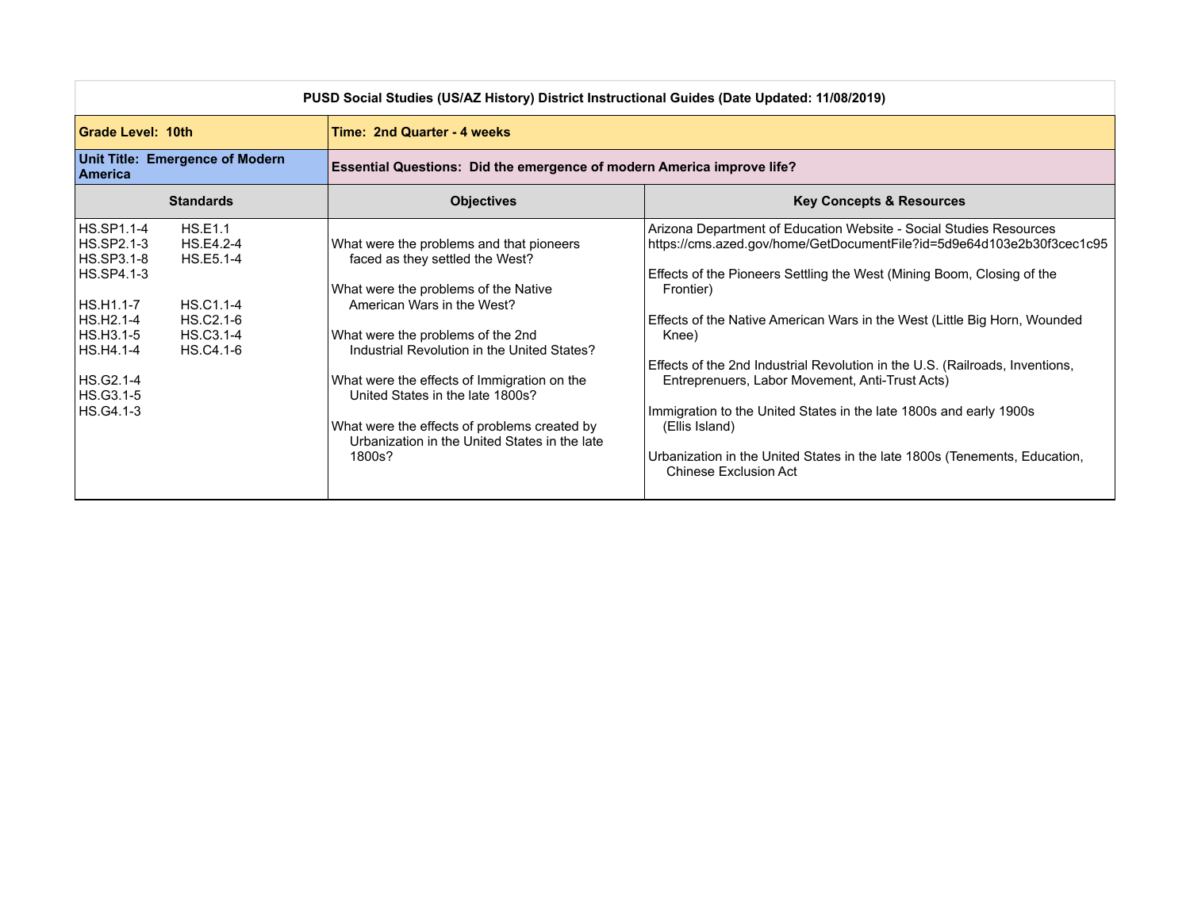| PUSD Social Studies (US/AZ History) District Instructional Guides (Date Updated: 11/08/2019)                                                                                                                                                    |                                                                                                                                                                                                                                                                                                                                                                                                                                     |                                                                                                                                                                                                                                                                                                                                                                                                                                                                                                                                                                                                                                                                   |  |
|-------------------------------------------------------------------------------------------------------------------------------------------------------------------------------------------------------------------------------------------------|-------------------------------------------------------------------------------------------------------------------------------------------------------------------------------------------------------------------------------------------------------------------------------------------------------------------------------------------------------------------------------------------------------------------------------------|-------------------------------------------------------------------------------------------------------------------------------------------------------------------------------------------------------------------------------------------------------------------------------------------------------------------------------------------------------------------------------------------------------------------------------------------------------------------------------------------------------------------------------------------------------------------------------------------------------------------------------------------------------------------|--|
| <b>Grade Level: 10th</b>                                                                                                                                                                                                                        | Time: 2nd Quarter - 4 weeks                                                                                                                                                                                                                                                                                                                                                                                                         |                                                                                                                                                                                                                                                                                                                                                                                                                                                                                                                                                                                                                                                                   |  |
| <b>Unit Title: Emergence of Modern</b><br><b>America</b>                                                                                                                                                                                        |                                                                                                                                                                                                                                                                                                                                                                                                                                     | Essential Questions: Did the emergence of modern America improve life?                                                                                                                                                                                                                                                                                                                                                                                                                                                                                                                                                                                            |  |
| <b>Standards</b>                                                                                                                                                                                                                                | <b>Objectives</b>                                                                                                                                                                                                                                                                                                                                                                                                                   | <b>Key Concepts &amp; Resources</b>                                                                                                                                                                                                                                                                                                                                                                                                                                                                                                                                                                                                                               |  |
| HS.SP1.1-4<br><b>HS.E1.1</b><br>HS.SP2.1-3<br>HS.E4.2-4<br>HS.SP3.1-8<br>HS.E5.1-4<br>HS.SP4.1-3<br>HS.H1.1-7<br>HS.C1.1-4<br>HS.H2.1-4<br>HS.C2.1-6<br>HS.H3.1-5<br>HS.C3.1-4<br>HS.H4.1-4<br>HS.C4.1-6<br>HS.G2.1-4<br>HS.G3.1-5<br>HS.G4.1-3 | What were the problems and that pioneers<br>faced as they settled the West?<br>What were the problems of the Native<br>American Wars in the West?<br>What were the problems of the 2nd<br>Industrial Revolution in the United States?<br>What were the effects of Immigration on the<br>United States in the late 1800s?<br>What were the effects of problems created by<br>Urbanization in the United States in the late<br>1800s? | Arizona Department of Education Website - Social Studies Resources<br>https://cms.azed.gov/home/GetDocumentFile?id=5d9e64d103e2b30f3cec1c95<br>Effects of the Pioneers Settling the West (Mining Boom, Closing of the<br>Frontier)<br>Effects of the Native American Wars in the West (Little Big Horn, Wounded<br>Knee)<br>Effects of the 2nd Industrial Revolution in the U.S. (Railroads, Inventions,<br>Entreprenuers, Labor Movement, Anti-Trust Acts)<br>Immigration to the United States in the late 1800s and early 1900s<br>(Ellis Island)<br>Urbanization in the United States in the late 1800s (Tenements, Education,<br><b>Chinese Exclusion Act</b> |  |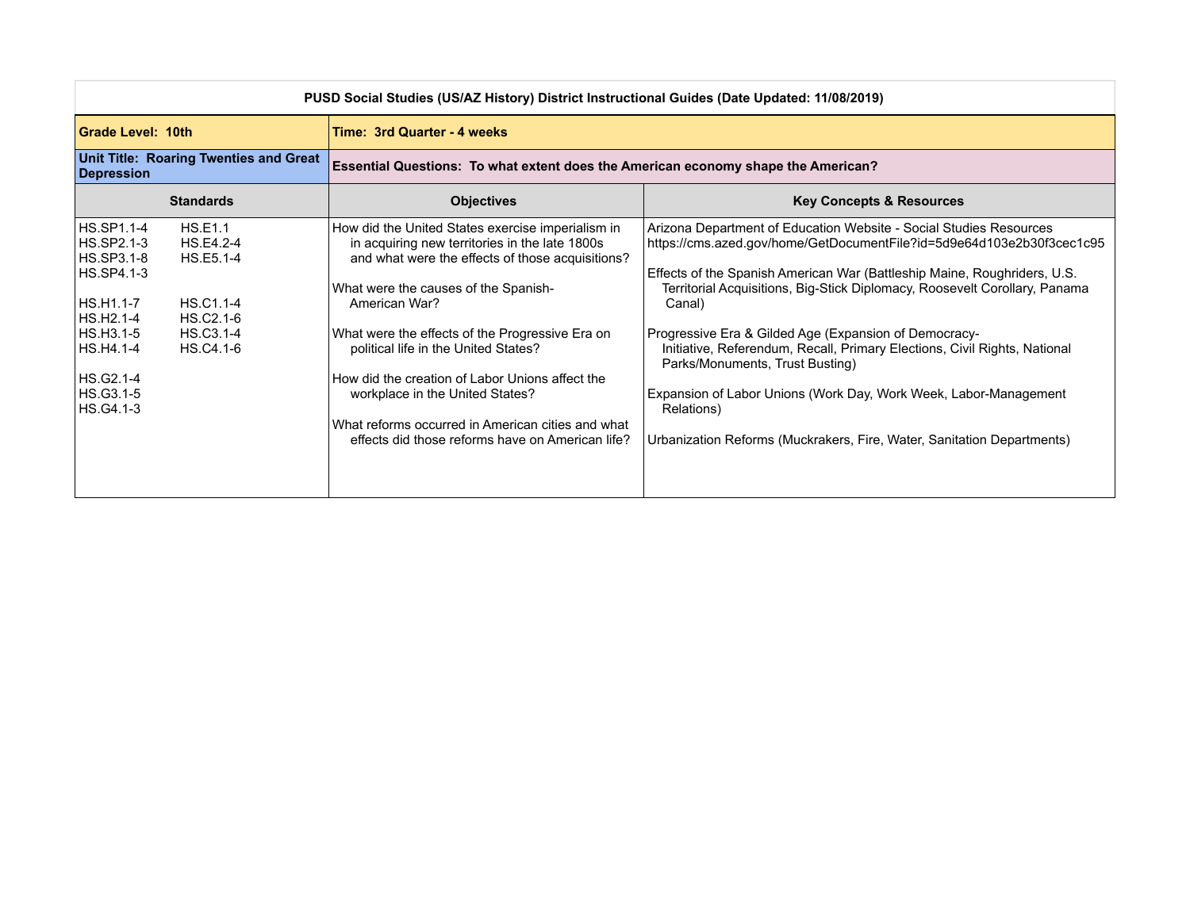| PUSD Social Studies (US/AZ History) District Instructional Guides (Date Updated: 11/08/2019)                                                                                                                                                    |                                                                                                                                                                                                                                                                                                                                                                                                                                                                                                            |                                                                                                                                                                                                                                                                                                                                                                                                                                                                                                                                                                                                                                                      |
|-------------------------------------------------------------------------------------------------------------------------------------------------------------------------------------------------------------------------------------------------|------------------------------------------------------------------------------------------------------------------------------------------------------------------------------------------------------------------------------------------------------------------------------------------------------------------------------------------------------------------------------------------------------------------------------------------------------------------------------------------------------------|------------------------------------------------------------------------------------------------------------------------------------------------------------------------------------------------------------------------------------------------------------------------------------------------------------------------------------------------------------------------------------------------------------------------------------------------------------------------------------------------------------------------------------------------------------------------------------------------------------------------------------------------------|
| Grade Level: 10th                                                                                                                                                                                                                               | Time: 3rd Quarter - 4 weeks                                                                                                                                                                                                                                                                                                                                                                                                                                                                                |                                                                                                                                                                                                                                                                                                                                                                                                                                                                                                                                                                                                                                                      |
| <b>Unit Title: Roaring Twenties and Great</b><br>Depression                                                                                                                                                                                     | Essential Questions: To what extent does the American economy shape the American?                                                                                                                                                                                                                                                                                                                                                                                                                          |                                                                                                                                                                                                                                                                                                                                                                                                                                                                                                                                                                                                                                                      |
| <b>Standards</b>                                                                                                                                                                                                                                | <b>Objectives</b>                                                                                                                                                                                                                                                                                                                                                                                                                                                                                          | <b>Key Concepts &amp; Resources</b>                                                                                                                                                                                                                                                                                                                                                                                                                                                                                                                                                                                                                  |
| HS.SP1.1-4<br><b>HS.E1.1</b><br>HS.SP2.1-3<br>HS.E4.2-4<br>HS.SP3.1-8<br>HS.E5.1-4<br>HS.SP4.1-3<br>HS.H1.1-7<br>HS.C1.1-4<br>HS.H2.1-4<br>HS.C2.1-6<br>HS.H3.1-5<br>HS.C3.1-4<br>HS.H4.1-4<br>HS.C4.1-6<br>HS.G2.1-4<br>HS.G3.1-5<br>HS.G4.1-3 | How did the United States exercise imperialism in<br>in acquiring new territories in the late 1800s<br>and what were the effects of those acquisitions?<br>What were the causes of the Spanish-<br>American War?<br>What were the effects of the Progressive Era on<br>political life in the United States?<br>How did the creation of Labor Unions affect the<br>workplace in the United States?<br>What reforms occurred in American cities and what<br>effects did those reforms have on American life? | Arizona Department of Education Website - Social Studies Resources<br>https://cms.azed.gov/home/GetDocumentFile?id=5d9e64d103e2b30f3cec1c95<br>Effects of the Spanish American War (Battleship Maine, Roughriders, U.S.<br>Territorial Acquisitions, Big-Stick Diplomacy, Roosevelt Corollary, Panama<br>Canal)<br>Progressive Era & Gilded Age (Expansion of Democracy-<br>Initiative, Referendum, Recall, Primary Elections, Civil Rights, National<br>Parks/Monuments, Trust Busting)<br>Expansion of Labor Unions (Work Day, Work Week, Labor-Management<br>Relations)<br>Urbanization Reforms (Muckrakers, Fire, Water, Sanitation Departments) |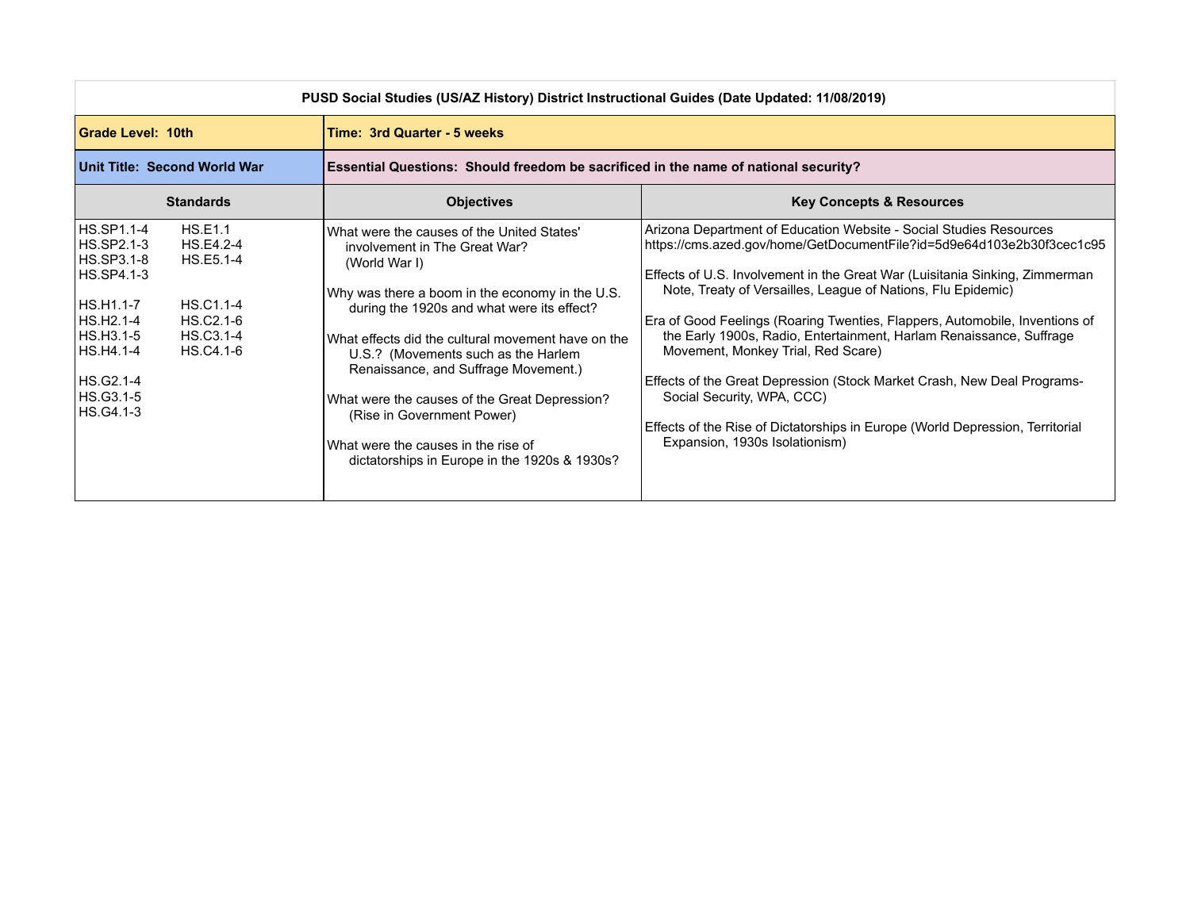| PUSD Social Studies (US/AZ History) District Instructional Guides (Date Updated: 11/08/2019)                                                                                                                                                                |                                                                                                                                                                                                                                                                                                                                                                                                                                                                                                           |                                                                                                                                                                                                                                                                                                                                                                                                                                                                                                                                                                                                                                                                                                                    |
|-------------------------------------------------------------------------------------------------------------------------------------------------------------------------------------------------------------------------------------------------------------|-----------------------------------------------------------------------------------------------------------------------------------------------------------------------------------------------------------------------------------------------------------------------------------------------------------------------------------------------------------------------------------------------------------------------------------------------------------------------------------------------------------|--------------------------------------------------------------------------------------------------------------------------------------------------------------------------------------------------------------------------------------------------------------------------------------------------------------------------------------------------------------------------------------------------------------------------------------------------------------------------------------------------------------------------------------------------------------------------------------------------------------------------------------------------------------------------------------------------------------------|
| Grade Level: 10th                                                                                                                                                                                                                                           | Time: 3rd Quarter - 5 weeks                                                                                                                                                                                                                                                                                                                                                                                                                                                                               |                                                                                                                                                                                                                                                                                                                                                                                                                                                                                                                                                                                                                                                                                                                    |
| Unit Title: Second World War                                                                                                                                                                                                                                | Essential Questions: Should freedom be sacrificed in the name of national security?                                                                                                                                                                                                                                                                                                                                                                                                                       |                                                                                                                                                                                                                                                                                                                                                                                                                                                                                                                                                                                                                                                                                                                    |
| <b>Standards</b>                                                                                                                                                                                                                                            | <b>Objectives</b>                                                                                                                                                                                                                                                                                                                                                                                                                                                                                         | <b>Key Concepts &amp; Resources</b>                                                                                                                                                                                                                                                                                                                                                                                                                                                                                                                                                                                                                                                                                |
| HS.SP1.1-4<br><b>HS.E1.1</b><br>HS.SP2.1-3<br>HS.E4.2-4<br>HS.SP3.1-8<br>HS.E5.1-4<br>HS.SP4.1-3<br>HS.C1.1-4<br>HS.H1.1-7<br>HS.H2.1-4<br>HS.C2.1-6<br>HS.H3.1-5<br>HS.C <sub>3.1-4</sub><br>HS.H4.1-4<br>HS.C4.1-6<br>HS.G2.1-4<br>HS.G3.1-5<br>HS.G4.1-3 | What were the causes of the United States'<br>involvement in The Great War?<br>(World War I)<br>Why was there a boom in the economy in the U.S.<br>during the 1920s and what were its effect?<br>What effects did the cultural movement have on the<br>U.S.? (Movements such as the Harlem<br>Renaissance, and Suffrage Movement.)<br>What were the causes of the Great Depression?<br>(Rise in Government Power)<br>What were the causes in the rise of<br>dictatorships in Europe in the 1920s & 1930s? | Arizona Department of Education Website - Social Studies Resources<br>https://cms.azed.gov/home/GetDocumentFile?id=5d9e64d103e2b30f3cec1c95<br>Effects of U.S. Involvement in the Great War (Luisitania Sinking, Zimmerman<br>Note, Treaty of Versailles, League of Nations, Flu Epidemic)<br>Era of Good Feelings (Roaring Twenties, Flappers, Automobile, Inventions of<br>the Early 1900s, Radio, Entertainment, Harlam Renaissance, Suffrage<br>Movement, Monkey Trial, Red Scare)<br>Effects of the Great Depression (Stock Market Crash, New Deal Programs-<br>Social Security, WPA, CCC)<br>Effects of the Rise of Dictatorships in Europe (World Depression, Territorial<br>Expansion, 1930s Isolationism) |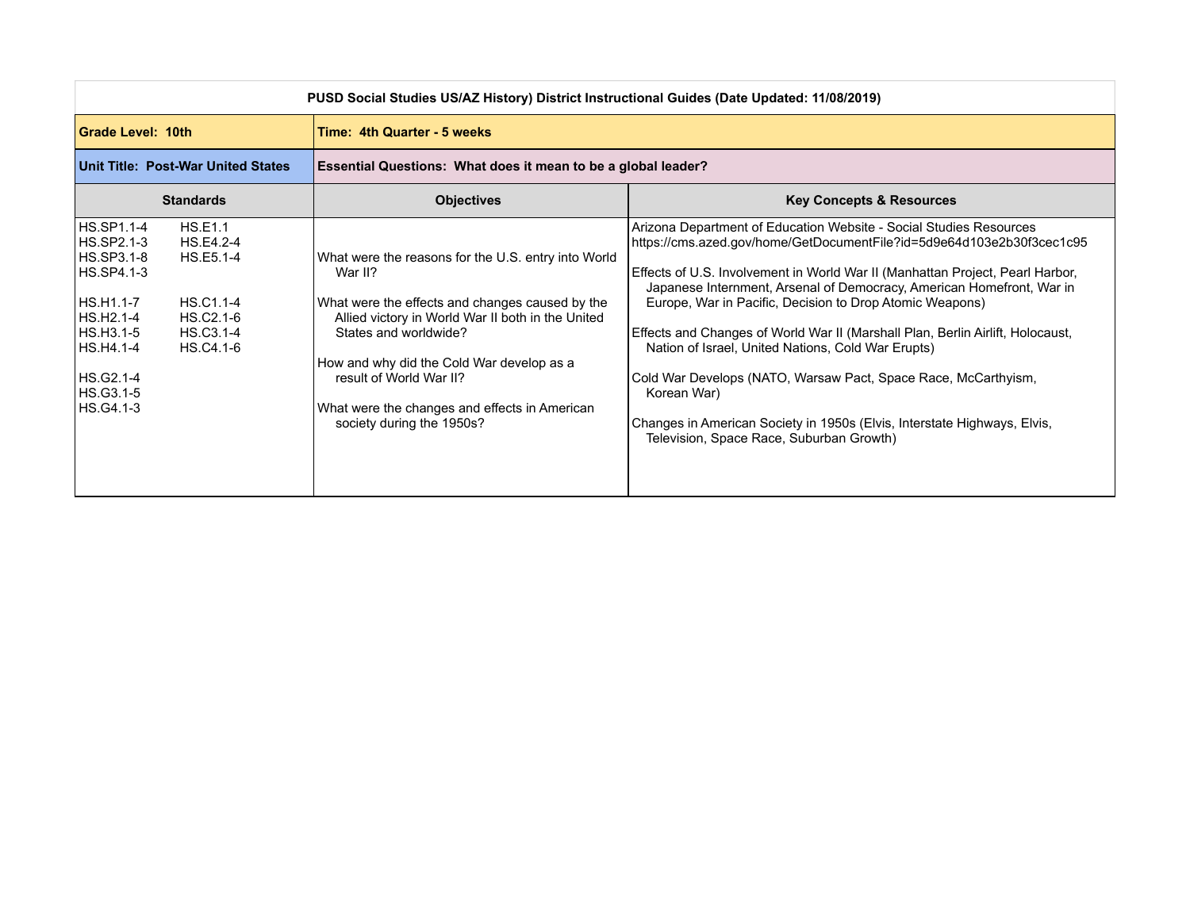| PUSD Social Studies US/AZ History) District Instructional Guides (Date Updated: 11/08/2019)                                                                                                                                                      |                                                                                                                                                                                                                                                                                                                                                       |                                                                                                                                                                                                                                                                                                                                                                                                                                                                                                                                                                                                                                                                                                                    |
|--------------------------------------------------------------------------------------------------------------------------------------------------------------------------------------------------------------------------------------------------|-------------------------------------------------------------------------------------------------------------------------------------------------------------------------------------------------------------------------------------------------------------------------------------------------------------------------------------------------------|--------------------------------------------------------------------------------------------------------------------------------------------------------------------------------------------------------------------------------------------------------------------------------------------------------------------------------------------------------------------------------------------------------------------------------------------------------------------------------------------------------------------------------------------------------------------------------------------------------------------------------------------------------------------------------------------------------------------|
| Grade Level: 10th                                                                                                                                                                                                                                | Time: 4th Quarter - 5 weeks                                                                                                                                                                                                                                                                                                                           |                                                                                                                                                                                                                                                                                                                                                                                                                                                                                                                                                                                                                                                                                                                    |
| Unit Title: Post-War United States                                                                                                                                                                                                               | Essential Questions: What does it mean to be a global leader?                                                                                                                                                                                                                                                                                         |                                                                                                                                                                                                                                                                                                                                                                                                                                                                                                                                                                                                                                                                                                                    |
| <b>Standards</b>                                                                                                                                                                                                                                 | <b>Objectives</b>                                                                                                                                                                                                                                                                                                                                     | <b>Key Concepts &amp; Resources</b>                                                                                                                                                                                                                                                                                                                                                                                                                                                                                                                                                                                                                                                                                |
| <b>HS.SP1.1-4</b><br>HS.E1.1<br>HS.SP2.1-3<br>HS.E4.2-4<br>HS.SP3.1-8<br>HS.E5.1-4<br>HS.SP4.1-3<br>HS.H1.1-7<br>HS.C1.1-4<br>HS.H2.1-4<br>HS.C2.1-6<br>HS.H3.1-5<br>HS.C3.1-4<br>HS.C4.1-6<br> HS.H4.1-4<br>HS.G2.1-4<br>HS.G3.1-5<br>HS.G4.1-3 | What were the reasons for the U.S. entry into World<br>War II?<br>What were the effects and changes caused by the<br>Allied victory in World War II both in the United<br>States and worldwide?<br>How and why did the Cold War develop as a<br>result of World War II?<br>What were the changes and effects in American<br>society during the 1950s? | Arizona Department of Education Website - Social Studies Resources<br>https://cms.azed.gov/home/GetDocumentFile?id=5d9e64d103e2b30f3cec1c95<br>Effects of U.S. Involvement in World War II (Manhattan Project, Pearl Harbor,<br>Japanese Internment, Arsenal of Democracy, American Homefront, War in<br>Europe, War in Pacific, Decision to Drop Atomic Weapons)<br>Effects and Changes of World War II (Marshall Plan, Berlin Airlift, Holocaust,<br>Nation of Israel, United Nations, Cold War Erupts)<br>Cold War Develops (NATO, Warsaw Pact, Space Race, McCarthyism,<br>Korean War)<br>Changes in American Society in 1950s (Elvis, Interstate Highways, Elvis,<br>Television, Space Race, Suburban Growth) |